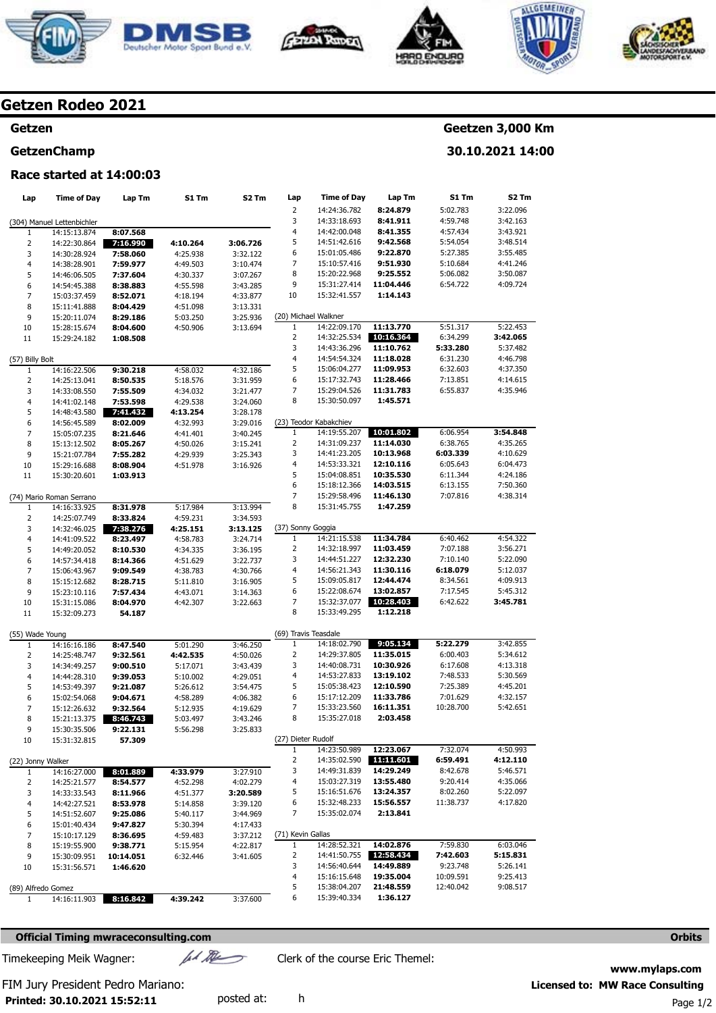









## **Getzen Rodeo 2021**

## **Getzen**

#### **GetzenChamp**

# **Geetzen 3,000 Km**

**30.10.2021 14:00** 

## **Race started at 14:00:03**

| Lap                                | <b>Time of Day</b>           | Lap Tm               | <b>S1 Tm</b>         | S2 Tm                | Lap                  | <b>Time of Day</b>                     | Lap Tm                 | S1 Tm                  | S2 Tm                |
|------------------------------------|------------------------------|----------------------|----------------------|----------------------|----------------------|----------------------------------------|------------------------|------------------------|----------------------|
|                                    |                              |                      |                      |                      | $\overline{2}$       | 14:24:36.782                           | 8:24.879               | 5:02.783               | 3:22.096             |
|                                    | (304) Manuel Lettenbichler   |                      |                      |                      | 3                    | 14:33:18.693                           | 8:41.911               | 4:59.748               | 3:42.163             |
| 1                                  | 14:15:13.874                 | 8:07.568             |                      |                      | 4                    | 14:42:00.048                           | 8:41.355               | 4:57.434               | 3:43.921             |
| $\overline{2}$                     | 14:22:30.864                 | 7:16.990             | 4:10.264             | 3:06.726             | 5                    | 14:51:42.616                           | 9:42.568               | 5:54.054               | 3:48.514             |
| 3                                  | 14:30:28.924                 | 7:58.060             | 4:25.938             | 3:32.122             | 6                    | 15:01:05.486                           | 9:22.870               | 5:27.385               | 3:55.485             |
| 4                                  | 14:38:28.901                 | 7:59.977             | 4:49.503             | 3:10.474             | 7                    | 15:10:57.416                           | 9:51.930               | 5:10.684               | 4:41.246             |
| 5                                  | 14:46:06.505                 | 7:37.604             | 4:30.337             | 3:07.267             | 8<br>9               | 15:20:22.968<br>15:31:27.414           | 9:25.552<br>11:04.446  | 5:06.082<br>6:54.722   | 3:50.087<br>4:09.724 |
| 6<br>$\overline{7}$                | 14:54:45.388<br>15:03:37.459 | 8:38.883<br>8:52.071 | 4:55.598             | 3:43.285<br>4:33.877 | 10                   | 15:32:41.557                           | 1:14.143               |                        |                      |
| 8                                  | 15:11:41.888                 | 8:04.429             | 4:18.194<br>4:51.098 | 3:13.331             |                      |                                        |                        |                        |                      |
| 9                                  | 15:20:11.074                 | 8:29.186             | 5:03.250             | 3:25.936             |                      | (20) Michael Walkner                   |                        |                        |                      |
| 10                                 | 15:28:15.674                 | 8:04.600             | 4:50.906             | 3:13.694             | 1                    | 14:22:09.170                           | 11:13.770              | 5:51.317               | 5:22.453             |
| 11                                 | 15:29:24.182                 | 1:08.508             |                      |                      | $\overline{2}$       | 14:32:25.534                           | 10:16.364              | 6:34.299               | 3:42.065             |
|                                    |                              |                      |                      |                      | 3                    | 14:43:36.296                           | 11:10.762              | 5:33.280               | 5:37.482             |
| (57) Billy Bolt                    |                              |                      |                      |                      | 4                    | 14:54:54.324                           | 11:18.028              | 6:31.230               | 4:46.798             |
| 1                                  | 14:16:22.506                 | 9:30.218             | 4:58.032             | 4:32.186             | 5                    | 15:06:04.277                           | 11:09.953              | 6:32.603               | 4:37.350             |
| $\overline{2}$                     | 14:25:13.041                 | 8:50.535             | 5:18.576             | 3:31.959             | 6                    | 15:17:32.743                           | 11:28.466              | 7:13.851               | 4:14.615             |
| 3                                  | 14:33:08.550                 | 7:55.509             | 4:34.032             | 3:21.477             | 7                    | 15:29:04.526                           | 11:31.783              | 6:55.837               | 4:35.946             |
| 4                                  | 14:41:02.148                 | 7:53.598             | 4:29.538             | 3:24.060             | 8                    | 15:30:50.097                           | 1:45.571               |                        |                      |
| 5                                  | 14:48:43.580                 | 7:41.432             | 4:13.254             | 3:28.178             |                      |                                        |                        |                        |                      |
| 6                                  | 14:56:45.589                 | 8:02.009             | 4:32.993             | 3:29.016             | 1                    | (23) Teodor Kabakchiev<br>14:19:55.207 | 10:01.802              | 6:06.954               | 3:54.848             |
| $\overline{7}$<br>8                | 15:05:07.235                 | 8:21.646             | 4:41.401<br>4:50.026 | 3:40.245             | 2                    | 14:31:09.237                           | 11:14.030              | 6:38.765               | 4:35.265             |
| 9                                  | 15:13:12.502<br>15:21:07.784 | 8:05.267<br>7:55.282 | 4:29.939             | 3:15.241<br>3:25.343 | 3                    | 14:41:23.205                           | 10:13.968              | 6:03.339               | 4:10.629             |
| 10                                 | 15:29:16.688                 | 8:08.904             | 4:51.978             | 3:16.926             | 4                    | 14:53:33.321                           | 12:10.116              | 6:05.643               | 6:04.473             |
| 11                                 | 15:30:20.601                 | 1:03.913             |                      |                      | 5                    | 15:04:08.851                           | 10:35.530              | 6:11.344               | 4:24.186             |
|                                    |                              |                      |                      |                      | 6                    | 15:18:12.366                           | 14:03.515              | 6:13.155               | 7:50.360             |
|                                    | (74) Mario Roman Serrano     |                      |                      |                      | 7                    | 15:29:58.496                           | 11:46.130              | 7:07.816               | 4:38.314             |
| 1                                  | 14:16:33.925                 | 8:31.978             | 5:17.984             | 3:13.994             | 8                    | 15:31:45.755                           | 1:47.259               |                        |                      |
| $\overline{2}$                     | 14:25:07.749                 | 8:33.824             | 4:59.231             | 3:34.593             |                      |                                        |                        |                        |                      |
| 3                                  | 14:32:46.025                 | 7:38.276             | 4:25.151             | 3:13.125             | (37) Sonny Goggia    |                                        |                        |                        |                      |
| 4                                  | 14:41:09.522                 | 8:23.497             | 4:58.783             | 3:24.714             | 1                    | 14:21:15.538                           | 11:34.784              | 6:40.462               | 4:54.322             |
| 5                                  | 14:49:20.052                 | 8:10.530             | 4:34.335             | 3:36.195             | $\overline{2}$       | 14:32:18.997                           | 11:03.459              | 7:07.188               | 3:56.271             |
| 6                                  | 14:57:34.418                 | 8:14.366             | 4:51.629             | 3:22.737             | 3                    | 14:44:51.227                           | 12:32.230              | 7:10.140               | 5:22.090             |
| $\overline{7}$                     | 15:06:43.967                 | 9:09.549             | 4:38.783             | 4:30.766             | 4                    | 14:56:21.343                           | 11:30.116              | 6:18.079               | 5:12.037             |
| 8                                  | 15:15:12.682                 | 8:28.715             | 5:11.810             | 3:16.905             | 5<br>6               | 15:09:05.817<br>15:22:08.674           | 12:44.474<br>13:02.857 | 8:34.561<br>7:17.545   | 4:09.913             |
| 9                                  | 15:23:10.116                 | 7:57.434             | 4:43.071             | 3:14.363             | 7                    | 15:32:37.077                           | 10:28.403              | 6:42.622               | 5:45.312<br>3:45.781 |
| 10<br>11                           | 15:31:15.086<br>15:32:09.273 | 8:04.970<br>54.187   | 4:42.307             | 3:22.663             | 8                    | 15:33:49.295                           | 1:12.218               |                        |                      |
|                                    |                              |                      |                      |                      |                      |                                        |                        |                        |                      |
| (55) Wade Young                    |                              |                      |                      |                      | (69) Travis Teasdale |                                        |                        |                        |                      |
| 1                                  | 14:16:16.186                 | 8:47.540             | 5:01.290             | 3:46.250             | $\mathbf{1}$         | 14:18:02.790                           | 9:05.134               | 5:22.279               | 3:42.855             |
| $\overline{2}$                     | 14:25:48.747                 | 9:32.561             | 4:42.535             | 4:50.026             | $\overline{2}$       | 14:29:37.805                           | 11:35.015              | 6:00.403               | 5:34.612             |
| 3                                  | 14:34:49.257                 | 9:00.510             | 5:17.071             | 3:43.439             | 3                    | 14:40:08.731                           | 10:30.926              | 6:17.608               | 4:13.318             |
| 4                                  | 14:44:28.310                 | 9:39.053             | 5:10.002             | 4:29.051             | 4                    | 14:53:27.833                           | 13:19.102              | 7:48.533               | 5:30.569             |
| 5                                  | 14:53:49.397                 | 9:21.087             | 5:26.612             | 3:54.475             | 5                    | 15:05:38.423                           | 12:10.590              | 7:25.389               | 4:45.201             |
| 6                                  | 15:02:54.068                 | 9:04.671             | 4:58.289             | 4:06.382             | 6                    | 15:17:12.209                           | 11:33.786              | 7:01.629               | 4:32.157             |
| 7                                  | 15:12:26.632                 | 9:32.564             | 5:12.935             | 4:19.629             | 7                    | 15:33:23.560                           | 16:11.351              | 10:28.700              | 5:42.651             |
| 8                                  | 15:21:13.375                 | 8:46.743             | 5:03.497<br>5:56.298 | 3:43.246<br>3:25.833 | 8                    | 15:35:27.018                           | 2:03.458               |                        |                      |
| 9<br>10                            | 15:30:35.506<br>15:31:32.815 | 9:22.131<br>57.309   |                      |                      | (27) Dieter Rudolf   |                                        |                        |                        |                      |
|                                    |                              |                      |                      |                      | $\mathbf{1}$         | 14:23:50.989                           | 12:23.067              | 7:32.074               | 4:50.993             |
| (22) Jonny Walker                  |                              |                      |                      |                      | 2                    | 14:35:02.590                           | 11:11.601              | 6:59.491               | 4:12.110             |
| 1                                  | 14:16:27.000                 | 8:01.889             | 4:33.979             | 3:27.910             | 3                    | 14:49:31.839                           | 14:29.249              | 8:42.678               | 5:46.571             |
| 2                                  | 14:25:21.577                 | 8:54.577             | 4:52.298             | 4:02.279             | 4                    | 15:03:27.319                           | 13:55.480              | 9:20.414               | 4:35.066             |
| 3                                  | 14:33:33.543                 | 8:11.966             | 4:51.377             | 3:20.589             | 5                    | 15:16:51.676                           | 13:24.357              | 8:02.260               | 5:22.097             |
| 4                                  | 14:42:27.521                 | 8:53.978             | 5:14.858             | 3:39.120             | 6                    | 15:32:48.233                           | 15:56.557              | 11:38.737              | 4:17.820             |
| 5                                  | 14:51:52.607                 | 9:25.086             | 5:40.117             | 3:44.969             | 7                    | 15:35:02.074                           | 2:13.841               |                        |                      |
| 6                                  | 15:01:40.434                 | 9:47.827             | 5:30.394             | 4:17.433             |                      |                                        |                        |                        |                      |
| 7                                  | 15:10:17.129                 | 8:36.695             | 4:59.483             | 3:37.212             | (71) Kevin Gallas    |                                        |                        |                        |                      |
| 8                                  | 15:19:55.900                 | 9:38.771             | 5:15.954             | 4:22.817             | $\mathbf{1}$         | 14:28:52.321                           | 14:02.876              | 7:59.830               | 6:03.046             |
| 9                                  | 15:30:09.951                 | 10:14.051            | 6:32.446             | 3:41.605             | $\overline{2}$       | 14:41:50.755                           | 12:58.434              | 7:42.603               | 5:15.831             |
| 10                                 | 15:31:56.571                 | 1:46.620             |                      |                      | 3                    | 14:56:40.644                           | 14:49.889              | 9:23.748               | 5:26.141             |
|                                    |                              |                      |                      |                      | 4<br>5               | 15:16:15.648<br>15:38:04.207           | 19:35.004<br>21:48.559 | 10:09.591<br>12:40.042 | 9:25.413<br>9:08.517 |
| (89) Alfredo Gomez<br>$\mathbf{1}$ | 14:16:11.903                 | 8:16.842             | 4:39.242             | 3:37.600             | 6                    | 15:39:40.334                           | 1:36.127               |                        |                      |
|                                    |                              |                      |                      |                      |                      |                                        |                        |                        |                      |

**Official Timing mwraceconsulting.com Orbits Orbits Orbits Orbits Orbits Orbits** 

**Printed: 30.10.2021 15:52:11** 

Timekeeping Meik Wagner:  $\mu$ // $\ell$  Clerk of the course Eric Themel:

**www.mylaps.com**  FIM Jury President Pedro Mariano: **Licensed to: MW Race Consulting**  posted at: h Page 1/2